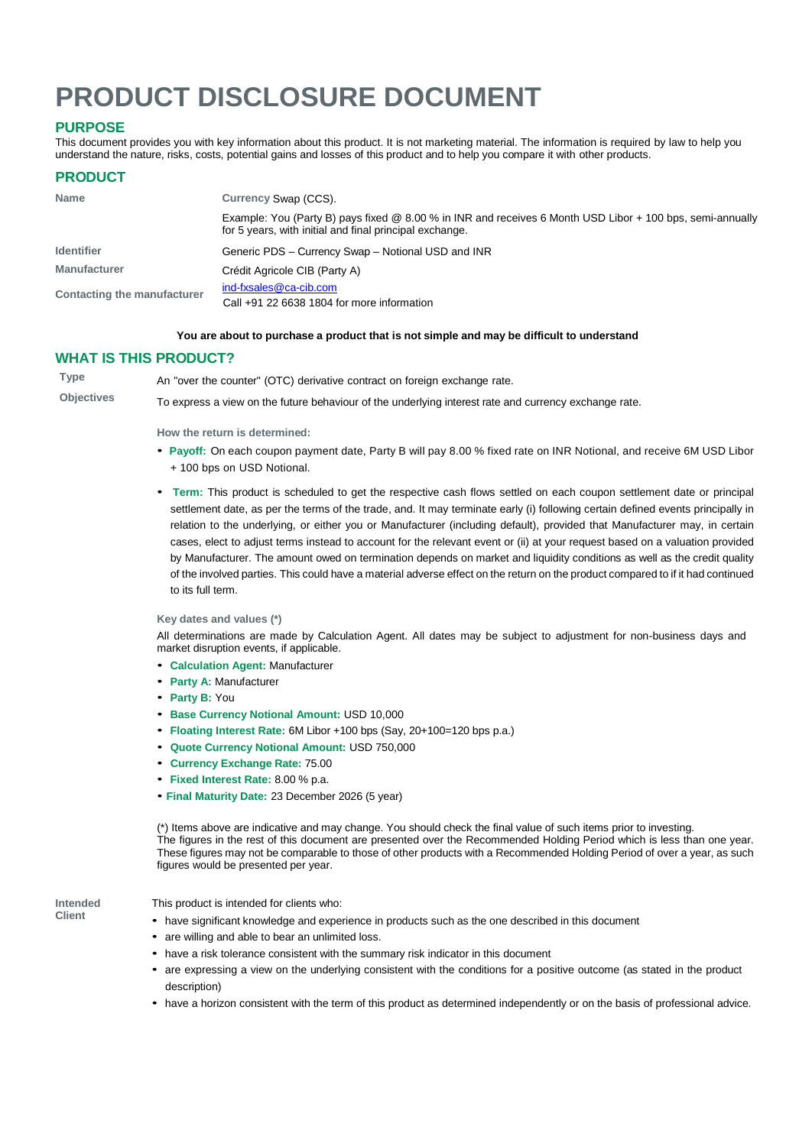# **PRODUCT DISCLOSURE DOCUMENT**

# **PURPOSE**

This document provides you with key information about this product. It is not marketing material. The information is required by law to help you understand the nature, risks, costs, potential gains and losses of this product and to help you compare it with other products.

# **PRODUCT**

| <b>Name</b>                 | Currency Swap (CCS).                                                                                                                                                 |
|-----------------------------|----------------------------------------------------------------------------------------------------------------------------------------------------------------------|
|                             | Example: You (Party B) pays fixed @ 8.00 % in INR and receives 6 Month USD Libor + 100 bps, semi-annually<br>for 5 years, with initial and final principal exchange. |
| <b>Identifier</b>           | Generic PDS - Currency Swap - Notional USD and INR                                                                                                                   |
| <b>Manufacturer</b>         | Crédit Agricole CIB (Party A)                                                                                                                                        |
| Contacting the manufacturer | ind-fxsales@ca-cib.com<br>Call $+91$ 22 6638 1804 for more information                                                                                               |

#### **You are about to purchase a product that is not simple and may be difficult to understand**

## **WHAT IS THIS PRODUCT?**

**Type** An "over the counter" (OTC) derivative contract on foreign exchange rate.

**Objectives** To express a view on the future behaviour of the underlying interest rate and currency exchange rate.

**How the return is determined:**

- **Payoff:** On each coupon payment date, Party B will pay 8.00 % fixed rate on INR Notional, and receive 6M USD Libor + 100 bps on USD Notional.
- **Term:** This product is scheduled to get the respective cash flows settled on each coupon settlement date or principal settlement date, as per the terms of the trade, and. It may terminate early (i) following certain defined events principally in relation to the underlying, or either you or Manufacturer (including default), provided that Manufacturer may, in certain cases, elect to adjust terms instead to account for the relevant event or (ii) at your request based on a valuation provided by Manufacturer. The amount owed on termination depends on market and liquidity conditions as well as the credit quality of the involved parties. This could have a material adverse effect on the return on the product compared to if it had continued to its full term.

**Key dates and values (\*)**

All determinations are made by Calculation Agent. All dates may be subject to adjustment for non-business days and market disruption events, if applicable.

- **Calculation Agent:** Manufacturer
- **Party A:** Manufacturer
- **Party B:** You
- **Base Currency Notional Amount:** USD 10,000
- **Floating Interest Rate:** 6M Libor +100 bps (Say, 20+100=120 bps p.a.)
- **Quote Currency Notional Amount:** USD 750,000
- **Currency Exchange Rate:** 75.00
- **Fixed Interest Rate:** 8.00 % p.a.
- **Final Maturity Date:** 23 December 2026 (5 year)

(\*) Items above are indicative and may change. You should check the final value of such items prior to investing. The figures in the rest of this document are presented over the Recommended Holding Period which is less than one year. These figures may not be comparable to those of other products with a Recommended Holding Period of over a year, as such figures would be presented per year.

**Intended Client**

This product is intended for clients who:

- have significant knowledge and experience in products such as the one described in this document
- are willing and able to bear an unlimited loss.
- have a risk tolerance consistent with the summary risk indicator in this document
- are expressing <sup>a</sup> view on the underlying consistent with the conditions for <sup>a</sup> positive outcome (as stated in the product description)
- have a horizon consistent with the term of this product as determined independently or on the basis of professional advice.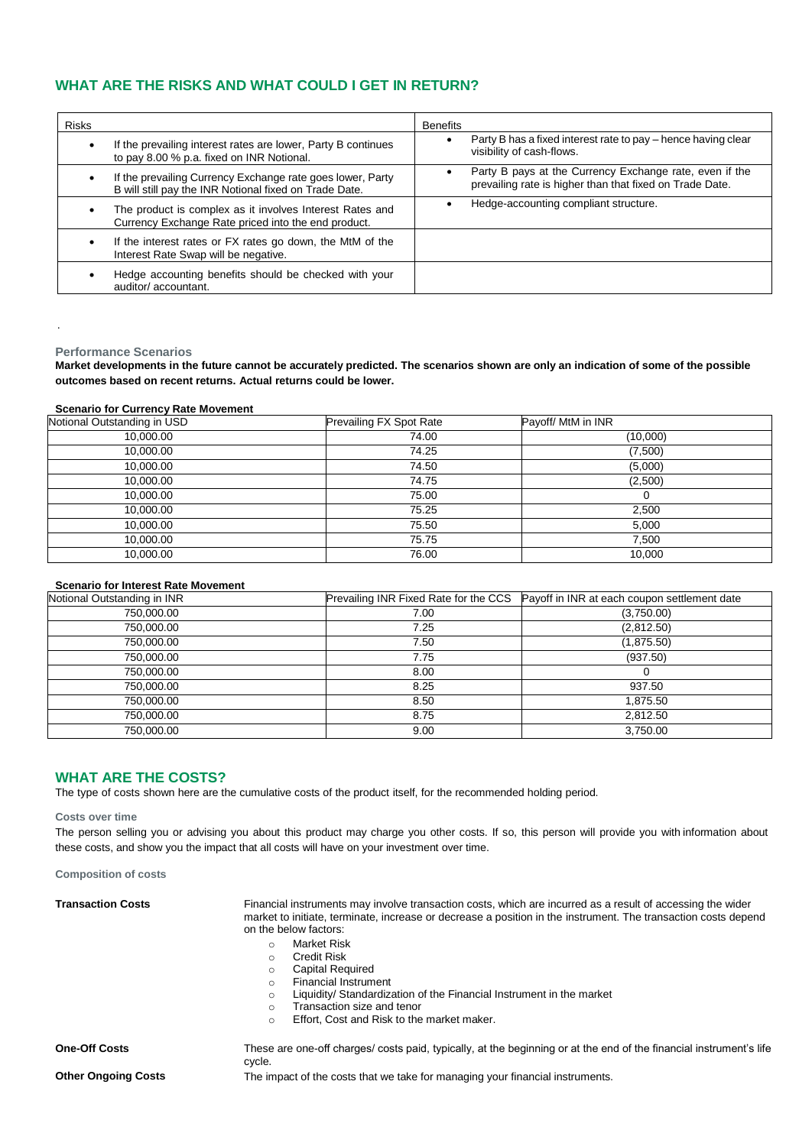# **WHAT ARE THE RISKS AND WHAT COULD I GET IN RETURN?**

| <b>Risks</b>                                                                                                            | <b>Benefits</b>                                                                                                     |
|-------------------------------------------------------------------------------------------------------------------------|---------------------------------------------------------------------------------------------------------------------|
| If the prevailing interest rates are lower, Party B continues<br>$\bullet$<br>to pay 8.00 % p.a. fixed on INR Notional. | Party B has a fixed interest rate to pay – hence having clear<br>visibility of cash-flows.                          |
| If the prevailing Currency Exchange rate goes lower, Party<br>B will still pay the INR Notional fixed on Trade Date.    | Party B pays at the Currency Exchange rate, even if the<br>prevailing rate is higher than that fixed on Trade Date. |
| The product is complex as it involves Interest Rates and<br>٠<br>Currency Exchange Rate priced into the end product.    | Hedge-accounting compliant structure.                                                                               |
| If the interest rates or FX rates go down, the MtM of the<br>٠<br>Interest Rate Swap will be negative.                  |                                                                                                                     |
| Hedge accounting benefits should be checked with your<br>auditor/accountant.                                            |                                                                                                                     |

#### **Performance Scenarios**

.

**Market developments in the future cannot be accurately predicted. The scenarios shown are only an indication of some of the possible outcomes based on recent returns. Actual returns could be lower.**

#### **Scenario for Currency Rate Movement**

| Notional Outstanding in USD | Prevailing FX Spot Rate | Payoff/ MtM in INR |
|-----------------------------|-------------------------|--------------------|
| 10,000.00                   | 74.00                   | (10,000)           |
| 10,000.00                   | 74.25                   | (7,500)            |
| 10,000.00                   | 74.50                   | (5,000)            |
| 10,000.00                   | 74.75                   | (2,500)            |
| 10,000.00                   | 75.00                   | 0                  |
| 10,000.00                   | 75.25                   | 2,500              |
| 10,000.00                   | 75.50                   | 5,000              |
| 10,000.00                   | 75.75                   | 7,500              |
| 10,000.00                   | 76.00                   | 10,000             |

#### **Scenario for Interest Rate Movement**

| Notional Outstanding in INR | Prevailing INR Fixed Rate for the CCS | Payoff in INR at each coupon settlement date |
|-----------------------------|---------------------------------------|----------------------------------------------|
| 750,000.00                  | 7.00                                  | (3,750.00)                                   |
| 750,000.00                  | 7.25                                  | (2,812.50)                                   |
| 750,000.00                  | 7.50                                  | (1,875.50)                                   |
| 750,000.00                  | 7.75                                  | (937.50)                                     |
| 750,000.00                  | 8.00                                  |                                              |
| 750,000.00                  | 8.25                                  | 937.50                                       |
| 750,000.00                  | 8.50                                  | 1,875.50                                     |
| 750,000.00                  | 8.75                                  | 2,812.50                                     |
| 750,000.00                  | 9.00                                  | 3,750.00                                     |

## **WHAT ARE THE COSTS?**

The type of costs shown here are the cumulative costs of the product itself, for the recommended holding period.

#### **Costs over time**

The person selling you or advising you about this product may charge you other costs. If so, this person will provide you with information about these costs, and show you the impact that all costs will have on your investment over time.

**Composition of costs**

| <b>Transaction Costs</b> | Financial instruments may involve transaction costs, which are incurred as a result of accessing the wider<br>market to initiate, terminate, increase or decrease a position in the instrument. The transaction costs depend<br>on the below factors: |  |  |
|--------------------------|-------------------------------------------------------------------------------------------------------------------------------------------------------------------------------------------------------------------------------------------------------|--|--|
|                          | Market Risk<br>$\circ$                                                                                                                                                                                                                                |  |  |
|                          | <b>Credit Risk</b><br>O                                                                                                                                                                                                                               |  |  |
|                          | <b>Capital Required</b><br>$\circ$                                                                                                                                                                                                                    |  |  |
|                          | <b>Financial Instrument</b><br>$\Omega$                                                                                                                                                                                                               |  |  |
|                          | Liquidity/ Standardization of the Financial Instrument in the market<br>$\circ$                                                                                                                                                                       |  |  |
|                          | Transaction size and tenor<br>$\circ$                                                                                                                                                                                                                 |  |  |
|                          | Effort, Cost and Risk to the market maker.<br>O                                                                                                                                                                                                       |  |  |
| <b>One-Off Costs</b>     | These are one-off charges/ costs paid, typically, at the beginning or at the end of the financial instrument's life<br>cvcle.                                                                                                                         |  |  |

cycle.

**Other Ongoing Costs** The impact of the costs that we take for managing your financial instruments.